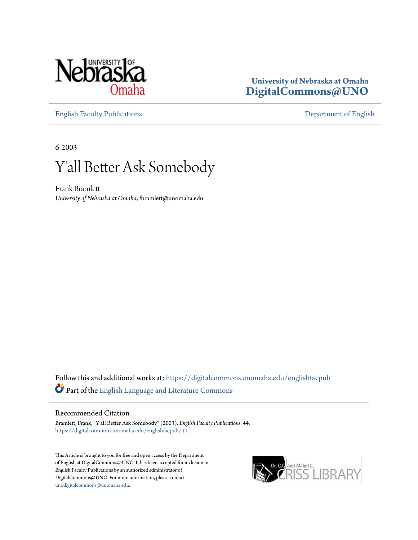

### **University of Nebraska at Omaha [DigitalCommons@UNO](https://digitalcommons.unomaha.edu?utm_source=digitalcommons.unomaha.edu%2Fenglishfacpub%2F44&utm_medium=PDF&utm_campaign=PDFCoverPages)**

[English Faculty Publications](https://digitalcommons.unomaha.edu/englishfacpub?utm_source=digitalcommons.unomaha.edu%2Fenglishfacpub%2F44&utm_medium=PDF&utm_campaign=PDFCoverPages) [Department of English](https://digitalcommons.unomaha.edu/english?utm_source=digitalcommons.unomaha.edu%2Fenglishfacpub%2F44&utm_medium=PDF&utm_campaign=PDFCoverPages)

6-2003

## Y'all Better Ask Somebody

Frank Bramlett *University of Nebraska at Omaha*, fbramlett@unomaha.edu

Follow this and additional works at: [https://digitalcommons.unomaha.edu/englishfacpub](https://digitalcommons.unomaha.edu/englishfacpub?utm_source=digitalcommons.unomaha.edu%2Fenglishfacpub%2F44&utm_medium=PDF&utm_campaign=PDFCoverPages) Part of the [English Language and Literature Commons](http://network.bepress.com/hgg/discipline/455?utm_source=digitalcommons.unomaha.edu%2Fenglishfacpub%2F44&utm_medium=PDF&utm_campaign=PDFCoverPages)

#### Recommended Citation

Bramlett, Frank, "Y'all Better Ask Somebody" (2003). *English Faculty Publications*. 44. [https://digitalcommons.unomaha.edu/englishfacpub/44](https://digitalcommons.unomaha.edu/englishfacpub/44?utm_source=digitalcommons.unomaha.edu%2Fenglishfacpub%2F44&utm_medium=PDF&utm_campaign=PDFCoverPages)

This Article is brought to you for free and open access by the Department of English at DigitalCommons@UNO. It has been accepted for inclusion in English Faculty Publications by an authorized administrator of DigitalCommons@UNO. For more information, please contact [unodigitalcommons@unomaha.edu](mailto:unodigitalcommons@unomaha.edu).